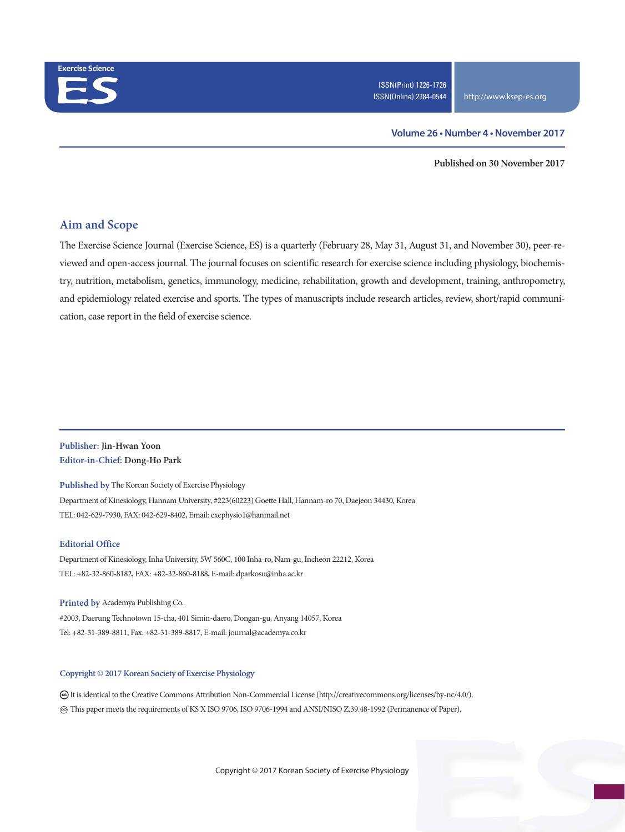

### **Volume 26 • Number 4 • November 2017**

**Published on 30 November 2017**

## **Aim and Scope**

The Exercise Science Journal (Exercise Science, ES) is a quarterly (February 28, May 31, August 31, and November 30), peer-reviewed and open-access journal. The journal focuses on scientific research for exercise science including physiology, biochemistry, nutrition, metabolism, genetics, immunology, medicine, rehabilitation, growth and development, training, anthropometry, and epidemiology related exercise and sports. The types of manuscripts include research articles, review, short/rapid communication, case report in the field of exercise science.

## **Publisher: Jin-Hwan Yoon Editor-in-Chief: Dong-Ho Park**

**Published by** The Korean Society of Exercise Physiology Department of Kinesiology, Hannam University, #223(60223) Goette Hall, Hannam-ro 70, Daejeon 34430, Korea TEL: 042-629-7930, FAX: 042-629-8402, Email: exephysio1@hanmail.net

#### **Editorial Office**

Department of Kinesiology, Inha University, 5W 560C, 100 Inha-ro, Nam-gu, Incheon 22212, Korea TEL: +82-32-860-8182, FAX: +82-32-860-8188, E-mail: dparkosu@inha.ac.kr

**Printed by** Academya Publishing Co. #2003, Daerung Technotown 15-cha, 401 Simin-daero, Dongan-gu, Anyang 14057, Korea Tel: +82-31-389-8811, Fax: +82-31-389-8817, E-mail: journal@academya.co.kr

#### **Copyright © 2017 Korean Society of Exercise Physiology**

 It is identical to the Creative Commons Attribution Non-Commercial License (http://creativecommons.org/licenses/by-nc/4.0/). ∞ This paper meets the requirements of KS X ISO 9706, ISO 9706-1994 and ANSI/NISO Z.39.48-1992 (Permanence of Paper).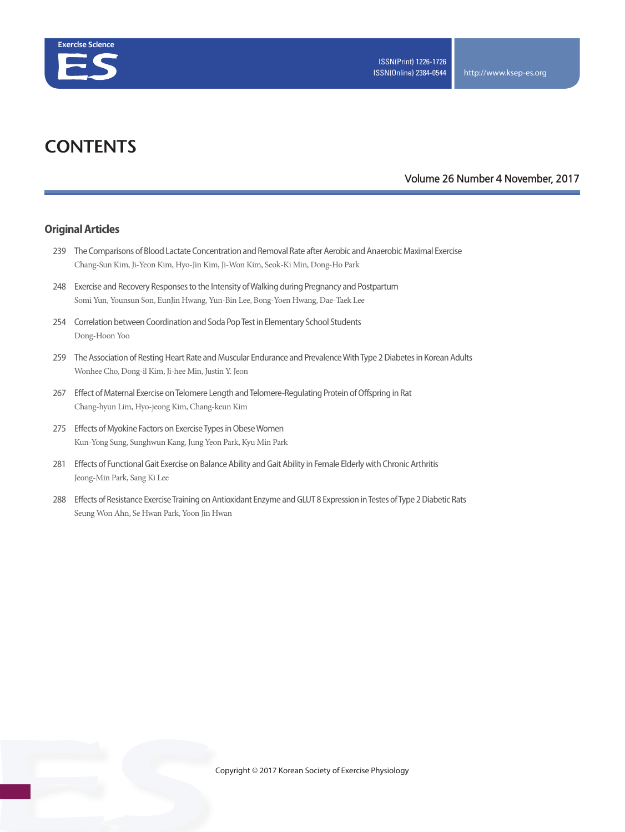

# **CONTENTS**

### **Volume 26 Number 4 November, 2017**

## **Original Articles**

- 239 The Comparisons of Blood Lactate Concentration and Removal Rate after Aerobic and Anaerobic Maximal Exercise Chang-Sun Kim, Ji-Yeon Kim, Hyo-Jin Kim, Ji-Won Kim, Seok-Ki Min, Dong-Ho Park
- 248 Exercise and Recovery Responses to the Intensity of Walking during Pregnancy and Postpartum Somi Yun, Younsun Son, EunJin Hwang, Yun-Bin Lee, Bong-Yoen Hwang, Dae-Taek Lee
- 254 Correlation between Coordination and Soda Pop Test in Elementary School Students Dong-Hoon Yoo
- 259 The Association of Resting Heart Rate and Muscular Endurance and Prevalence With Type 2 Diabetes in Korean Adults Wonhee Cho, Dong-il Kim, Ji-hee Min, Justin Y. Jeon
- 267 Effect of Maternal Exercise on Telomere Length and Telomere-Regulating Protein of Offspring in Rat Chang-hyun Lim, Hyo-jeong Kim, Chang-keun Kim
- 275 Effects of Myokine Factors on Exercise Types in Obese Women Kun-Yong Sung, Sunghwun Kang, Jung Yeon Park, Kyu Min Park
- 281 Effects of Functional Gait Exercise on Balance Ability and Gait Ability in Female Elderly with Chronic Arthritis Jeong-Min Park, Sang Ki Lee
- 288 Effects of Resistance Exercise Training on Antioxidant Enzyme and GLUT 8 Expression in Testes of Type 2 Diabetic Rats Seung Won Ahn, Se Hwan Park, Yoon Jin Hwan